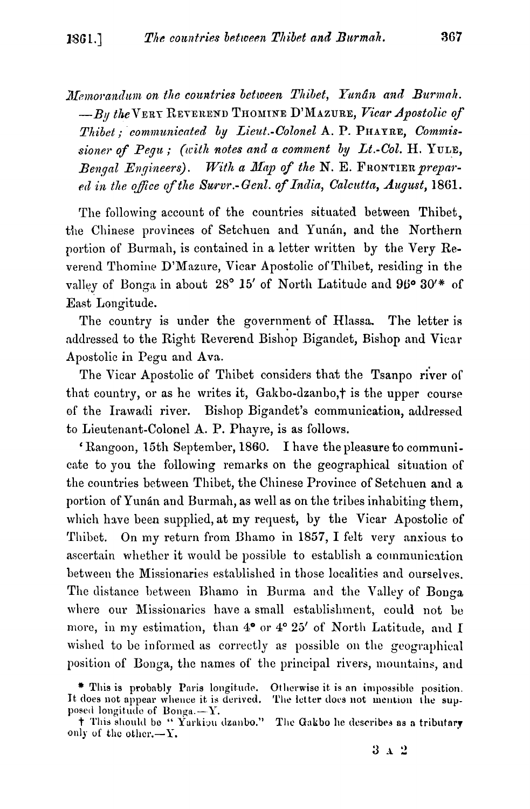Memorandum on the countries between Thibet, Yunan and Burmah.  $-By$  the VERT REVEREND THOMINE D'MAZURE, Vicar Apostolic of Thibet; communicated by Lieut.-Colonel A. P. PHATRE, Commissioner of Pequ; (with notes and a comment by Lt.-Col. H. YULE, Bengal Engineers). With a Map of the N. E. FRONTIER prepared in the office of the Survr.-Genl. of India, Calcutta, August, 1861.

The following account of the countries situated between Thibet. the Chinese provinces of Setchuen and Yunan, and the Northern portion of Burmah, is contained in a letter written by the Very Reverend Thomine D'Mazure, Vicar Apostolic of Thibet, residing in the valley of Bonga in about 28° 15' of North Latitude and 96° 30'\* of East Longitude.

The country is under the government of Hlassa. The letter is addressed to the Right Reverend Bishop Bigandet, Bishop and Vicar Apostolic in Pegu and Ava.

The Vicar Apostolic of Thibet considers that the Tsanpo river of that country, or as he writes it, Gakbo-dzanbo,t is the upper course of the Irawadi river. Bishop Bigandet's communication, addressed to Lieutenant-Colonel A. P. Phayre, is as follows.

'Rangoon, 15th September, 1860. I have the pleasure to communicate to you the following remarks on the geographical situation of the countries between Thibet, the Chinese Province of Setchuen and a portion of Yunan and Burmah, as well as on the tribes inhabiting them. which have been supplied, at my request, by the Vicar Apostolic of Thibet. On my return from Bhamo in 1857, I felt very anxious to ascertain whether it would be possible to establish a communication between the Missionaries established in those localities and ourselves. The distance between Bhamo in Burma and the Valley of Bonga where our Missionaries have a small establishment, could not be more, in my estimation, than 4° or 4° 25' of North Latitude, and I wished to be informed as correctly as possible on the geographical position of Bonga, the names of the principal rivers, mountains, and

<sup>\*</sup> This is probably Paris longitude. Otherwise it is an impossible position. It does not appear whence it is derived. The letter does not mention the supposed longitude of Bonga. $-Y$ .

<sup>&</sup>lt;sup>1</sup> This should be "Yarkiou dzanbo." The Gakbo he describes as a tributary only of the other.--Y.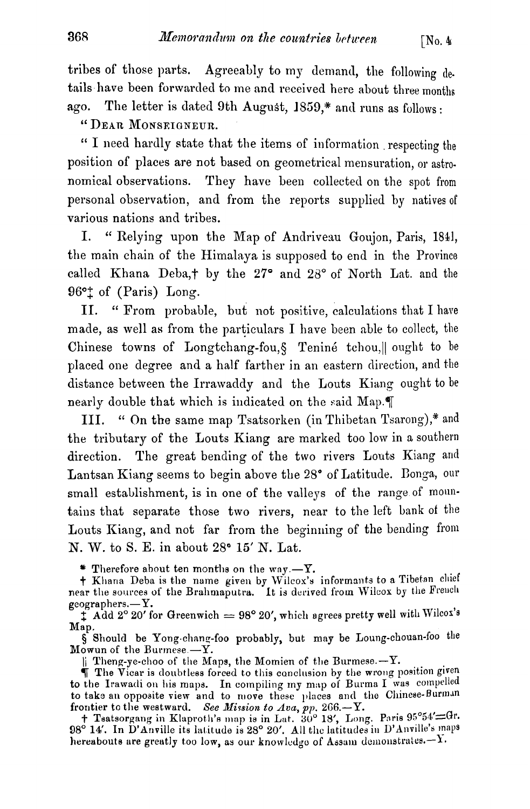tribes of those parts. Agreeably to my demand, the following  $de$ tails have been forwarded to me and received here about three months ago. The letter is dated 9th August, 1859,\* and runs as follows:

" DEAR MONSEIGNEUR.

" I need hardly state that the items of information. respecting the position of places are not based on geometrical mensuration, or astronomical observations. They have been collected on the spot from personal observation, and from the reports supplied by natives of various nations and tribes.

I. " Relying upon the Map of Andriveau Goujon, Paris, 1841, the main chain of the Himalaya is supposed to end in the Province called Khana Deba,<sup>†</sup> by the 27° and 28° of North Lat, and the **96":** of (Paris) Long.

II. " From probable, but not positive, calculations that I have made, as well as from the particulars I have been able to collect, the Chinese towns of Longtchang-fou, $\S$  Teniné tchou, ought to be placed one degree and a half farther in an eastern direction, and the distance between the Irrawaddy and the Louts Kiang ought to be nearly double that which is indicated on the said Map.

**111.** " On the same map Tsatsorken (in Thibetan Tsarong),\* and the tributary of the Louts Kiang are marked too low in a southern direction. The great bending of the two rivers Louts Kiang and Lantsan Kiang seems to begin above the 28° of Latitude. Bonga, our small establishment, is in one of the valleys of the range of mountains that separate those two rivers, near to the left bank of the Louts Kiang, and not far from the beginning of the bending from N. W. to S. E. in about **28"** 15' N. Lat.

\* Therefore about ten months on the  $way -Y$ .

<sup>1</sup> Add 2° 20' for Greenwich = 98° 20', which agrees pretty well with Wilcox's Map.

§ Should be Yong-chang-foo probably, but may be Loung-chouan-foo the Mowun of the Burmese. $-Y$ .

 $\parallel$  Theng-ye-choo of the Maps, the Momien of the Burmese. $-Y$ .

**T** The Vicar is doubtless forced to this conclusion by the wrong position given to the Irawadi on his maps. In compiling my map of Burma I was compelled to take an opposite view and to move these places and the Chinese-Burman frontier to the westward. *See Mission to Ava*,  $pp$ . 266.—Y

 $\bf t$  Tsatsorgang in Klaproth's map is in Lat.  $30^\circ$  18', Long. Paris 95°54'= $\bf \Theta$ 1 98° 14'. In D'Anville its latitude is 28° 20'. All the latitudes in D'Anville's maps hereabouts are greatly too low, as our knowledgo of Assam demonstrates. $-Y$ .

<sup>&</sup>lt;sup>†</sup> Khana Deba is the name given by Wilcox's informants to a Tibetan chief near the sources of the Brahmaputra. It is derived from Wilcox by the Freuch geographers. $-Y$ .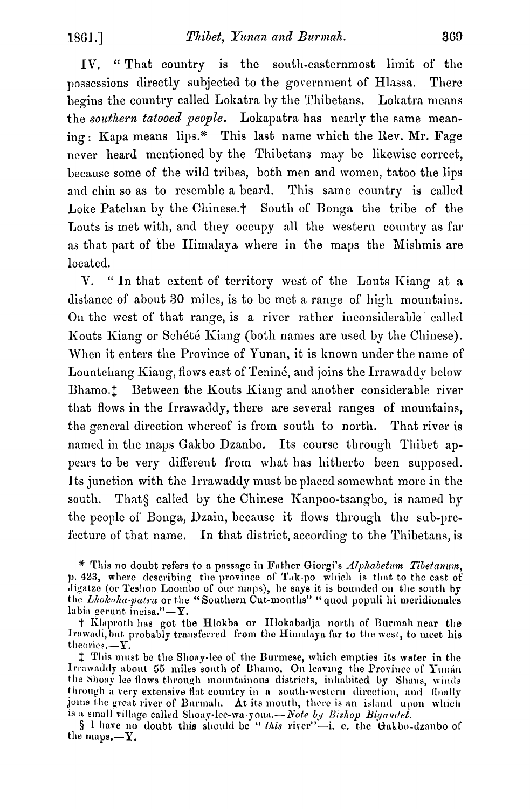IV. "That country is the south-easternmost limit of the nossessions directly subjected to the government of Hlassa. There begins the country called Lokatra by the Thibetans. Lokatra means the southern tatooed people. Lokapatra has nearly the same meaning: Kapa means lips.\* This last name which the Rev. Mr. Fage never heard mentioned by the Thibetans may be likewise correct, because some of the wild tribes, both men and women, tatoo the lips and chin so as to resemble a beard. This same country is called Loke Patchan by the Chinese.<sup>†</sup> South of Bonga the tribe of the Louts is met with, and they occupy all the western country as far as that part of the Himalaya where in the maps the Mishmis are located.

V. "In that extent of territory west of the Louts Kiang at a distance of about 30 miles, is to be met a range of high mountains. On the west of that range, is a river rather inconsiderable called Kouts Kiang or Schété Kiang (both names are used by the Chinese). When it enters the Province of Yunan, it is known under the name of Lountchang Kiang, flows east of Teniné, and joins the Irrawaddy below Bhamo.<sup>†</sup> Between the Kouts Kiang and another considerable river that flows in the Irrawaddy, there are several ranges of mountains, the general direction whereof is from south to north. That river is named in the maps Gakbo Dzanbo. Its course through Thibet appears to be very different from what has hitherto been supposed. Its junction with the Irrawaddy must be placed somewhat more in the south. That & called by the Chinese Kanpoo-tsangbo, is named by the people of Bonga, Dzain, because it flows through the sub-prefecture of that name. In that district, according to the Thibetans, is

<sup>\*</sup> This no doubt refers to a passage in Father Giorgi's Alphabetum Tibetanum, p. 423, where describing the province of Tak-po which is that to the east of Jigatze (or Teshoo Loombo of our maps), he says it is bounded on the south by the *Lhokaha-patra* or the "Southern Cut-mouths" "quod populi hi me labia gerunt incisa." $-\mathbf{Y}$ .

<sup>+</sup> Klaproth has got the Hlokba or Hlokabadja north of Burmah near the Irawadi, but probably transferred from the Himalaya far to the west, to meet his theories. $-Y$ .

<sup>#</sup> This must be the Shoay-lee of the Burmese, which empties its water in the Irrawaddy about 55 miles south of Bhamo. On leaving the Province of Yunan the Shoay lee flows through mountainous districts, inhabited by Shans, winds through a very extensive flat country in a south-western direction, and finally joins the great river of Burmah. At its mouth, there is an island upon which is a small village called Shoay-lee-wa youn.—Note by Bishop Bigandet.<br>§ I have no doubt this should be "this river"-i. e. the Gakbo-dzanbo of

the maps. $-Y$ .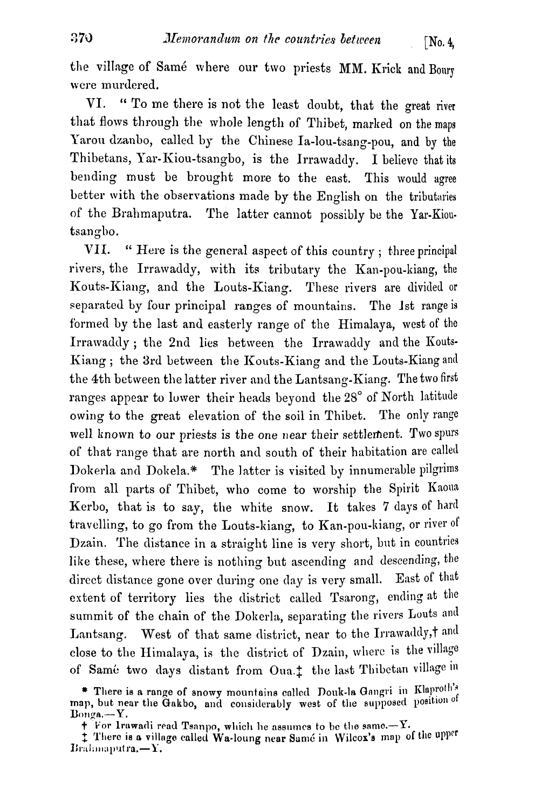the village of Samé where our two priests MM. Krick and Boary were murdered.

VI. " To me there is not the least doubt, that the great river that flows through the whole length of Thibet, marked on the maps Yarou dzanbo, called by the Chinese Ia-lou-tsang-pou, and by the Thibetans, Yar-Kiou-tsangbo, is the Irrawaddy. I believe that its bending must be brought more to the east. This would agree better with the observations made by the English on the tributaries of the Brahmaputra. The latter cannot possibly be the Yar-Kioutsangbo.

VII. "Here is the general aspect of this country; three principal rivers, the Irrawaddy, with its tributary the Kan-pou-kiang, the Kouts-Kiang, and the Louts-Kiang. These rivers are divided or separated by four principal ranges of mountains. The 1st range is formed by the last and easterly range of the Himalaya, west of the Irrawaddy; the 2nd lies between the Irrawaddy and the Kouts-Kiang ; the 3rd between the Routs-Kiang and the Louts-Kiang and the 4th between the latter river and the Lantsang-Kiang. The two first ranges appear to lower their heads beyond the 28° of North latitude owing to the great elevation of the soil in Thibet. The only range well known to our priests is the one near their settlement. Two spurs of that range that are north and south of their habitation are called Dokerla and Dokela.\* The latter is visited by innumerable pilgrims from all parts of Thibet, who come to worship the Spirit Kaoua Kerbo, that is to say, the white snow. It takes 7 days of hard travelling, to go from the Louts-kiang, to Kan-pou-kiang, or river of Dzain. The distance in a straight line is very short, but in countries like these, where there is nothing but ascending and descending, the direct distance gone over during one day is very small. East of that extent of territory lies the district called Tsarong, ending at the summit of the chain of the Dokerla, separating the rivers Louts and Lantsang. West of that same district, near to the Irrawaddy,t and close to the Himalaya, is the district of Dzain, where is the village of Same two days distant from Oua.<sup>†</sup> the last Thibetan village in

<sup>\*</sup> There is a range of snowy mountains called Douk-la Gangri in Klaproth's map, but near the Gakbo, and considerably west of the supposed position of  $Bonga - Y.$ 

 $\dagger$  **For lrawadi read Tsanpo, which he assumes to be the same.** $-\text{Y}$ .

**f.** There is a village called Wa-loung near Samé in Wilcox's map of the upper Brahmaputra.-Y.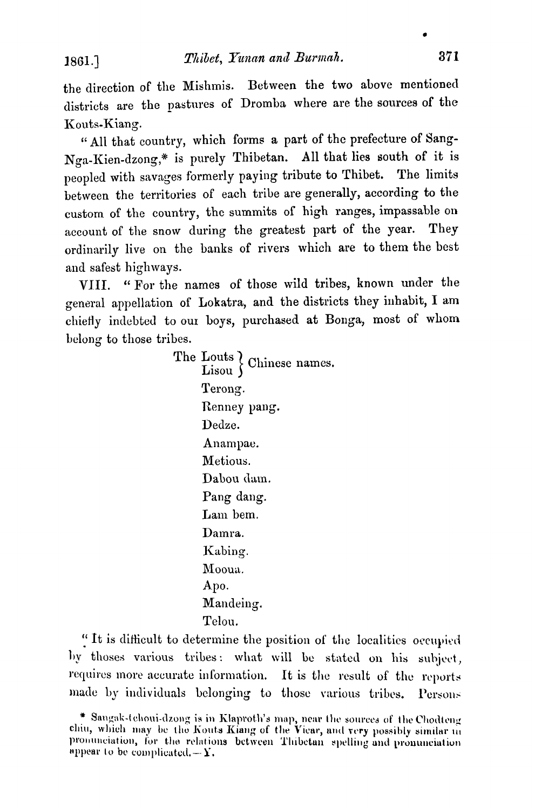$1861.$ 

the direction of the Mishmis. Between the two above mentioned districts are the pastures of Dromba where are the sources of the Kouts-Kiang.

"All that country, which forms a part of the prefecture of Sang-Nga-Kien-dzong,\* is purely Thibetan. All that lies south of it is peopled with savages formerly paying tribute to Thibet. The limits between the territories of each tribe are generally, according to the custom of the country, the summits of high ranges, impassable on account of the snow during the greatest part of the year. They ordinarily live on the banks of rivers which are to them the best and safest highways.

VIII. "For the names of those wild tribes, known under the general appellation of Lokatra, and the districts they inhabit, I am chiefly indebted to our boys, purchased at Bonga, most of whom belong to those tribes.

> The Louts  $\Big\}$  Chinese names. Terong. Renney pang. Dedze. Anampae. Metious. Dabou dam. Pang dang. Lam bem. Damra. Kabing. Mooua. Apo. Mandeing. Telou.

"It is difficult to determine the position of the localities occupied by thoses various tribes: what will be stated on his subject, requires more accurate information. It is the result of the reports made by individuals belonging to those various tribes. Persons

<sup>\*</sup> Sangak-tehoui-dzong is in Klaproth's map, near the sources of the Chodteng chiu, which may be the Kouts Kiang of the Vicar, and very possibly similar in pronunciation, for the relations between Thibetan spelling and pronunciation appear to be complicated,  $\mathbf{Y}$ ,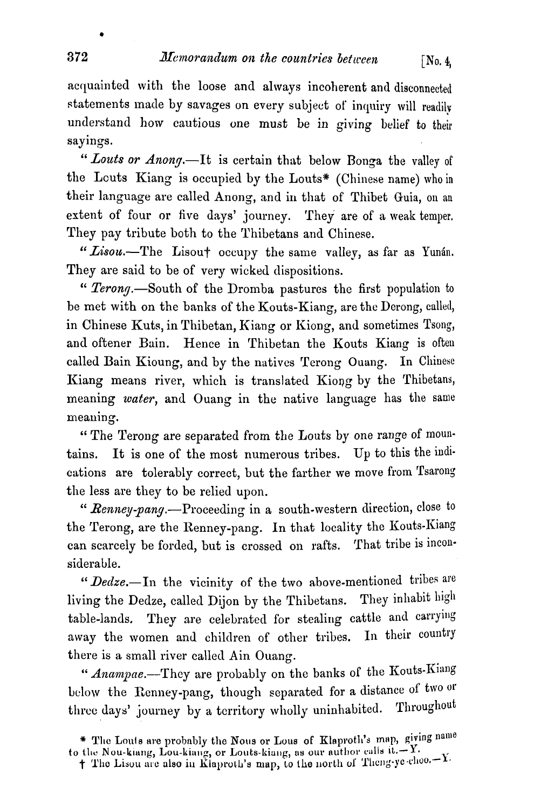acquainted with the loose and always incoherent and disconnected statements made by savages on every subject of inquiry will readily understand how cautious one must be in giving belief to their sayings.

"Louts or Anong.-It is certain that below Bonga the valley of the Louts Kiang is occupied by the Louts\* (Chinese name) who in their language are called Anong, and in that of Thibet Guia, on an extent of four or five days' journey. They are of a weak temper. They pay tribute both to the Thibetans and Chinese.

"Lisou.-The Lisout occupy the same valley, as far as Yunán. They are said to be of very wicked dispositions.

" Terong.-South of the Dromba pastures the first population to be met with on the banks of the Kouts-Kiang, are the Derong, called, in Chinese Kuts, in Thibetan, Kiang or Kiong, and sometimes Tsong, and oftener Bain. Hence in Thibetan the Kouts Kiang is often called Bain Kioung, and by the natives Terong Ouang. In Chinese Kiang means river, which is translated Kiong by the Thibetans, meaning water, and Ouang in the native language has the same meaning.

" The Terong are separated from the Louts by one range of mountains. It is one of the most numerous tribes. Up to this the indications are tolerably correct, but the farther we move from Tsarong the less are they to be relied upon.

" Renney-pang.--Proceeding in a south-western direction, close to the Terong, are the Renney-pang. In that locality the Kouts-Kiang can scarcely be forded, but is crossed on rafts. That tribe is incousiderable.

" Dedze.-In the vicinity of the two above-mentioned tribes are living the Dedze, called Dijon by the Thibetans. They inhabit high table-lands. They are celebrated for stealing cattle and carrying away the women and children of other tribes. In their country there is a small river called Ain Ouang.

" Anampae.-They are probably on the banks of the Kouts-Kiang below the Renney-pang, though separated for a distance of two or three days' journey by a territory wholly uninhabited. Throughout

<sup>\*</sup> The Louts are probably the Nous or Lous of Klaproth's map, giving name o the Nou-kiang, Lou-kiang, or Louts-kiang, as our author calls it.-Y.<br>
† The Lisou are also in Klaproth's map, to the north of Theng-ye-choo.-Y.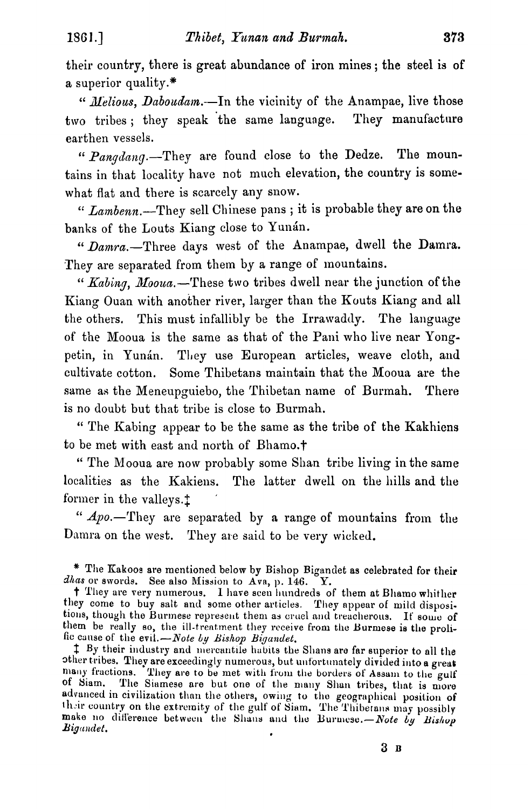1861.]

their country, there is great abundance of iron mines; the steel is of a superior quality. $*$ 

" Melious, Daboudam.-In the vicinity of the Anampae, live those two tribes; they speak the same language. They manufacture earthen vessels.

"Pangdang.-They are found close to the Dedze. The mountains in that locality have not much elevation, the country is somewhat flat and there is scarcely any snow.

"Lambenn.---They sell Chinese pans; it is probable they are on the banks of the Louts Kiang close to Yunán.

"Damra.-Three days west of the Anampae, dwell the Damra. They are separated from them by a range of mountains.

" Kabing, Mooua.-These two tribes dwell near the junction of the Kiang Ouan with another river, larger than the Kouts Kiang and all the others. This must infallibly be the Irrawaddy. The language of the Mooua is the same as that of the Pani who live near Yongpetin, in Yunán. They use European articles, weave cloth, and cultivate cotton. Some Thibetans maintain that the Mooua are the same as the Meneupguiebo, the Thibetan name of Burmah. There is no doubt but that tribe is close to Burmah.

" The Kabing appear to be the same as the tribe of the Kakhiens to be met with east and north of Bhamo.+

" The Mooua are now probably some Shan tribe living in the same localities as the Kakiens. The latter dwell on the hills and the former in the valleys.<sup>†</sup>

"  $Apo$ . They are separated by a range of mountains from the Damra on the west. They are said to be very wicked.

<sup>\*</sup> The Kakoos are mentioned below by Bishop Bigandet as celebrated for their *dhas* or swords. See also Mission to Ava, p. 146.  $Y$ .

<sup>†</sup> They are very numerous. I have seen hundreds of them at Bhamo whither they come to buy salt and some other articles. They appear of mild dispositions, though the Burmese represent them as cruel and treacherous. If some of them be really so, the ill-treatment they receive from the Burmese is the prolific cause of the evil. - Note by Bishop Bigandet.

<sup>&</sup>lt;sup>1</sup> By their industry and mercantile habits the Shans are far superior to all the other tribes. They are exceedingly numerous, but unfortunately divided into a great many fractions. They are to be met with from the borders of Assam to the gulf of Siam. The Siamese are but one of the many Shan tribes, that is more advanced in civilization than the others, owing to the geographical position of<br>their country on the extremity of the gulf of Siam. The Thiberans may possibly<br>make no difference between the Shans and the Burmese.—Note by B Bigandet.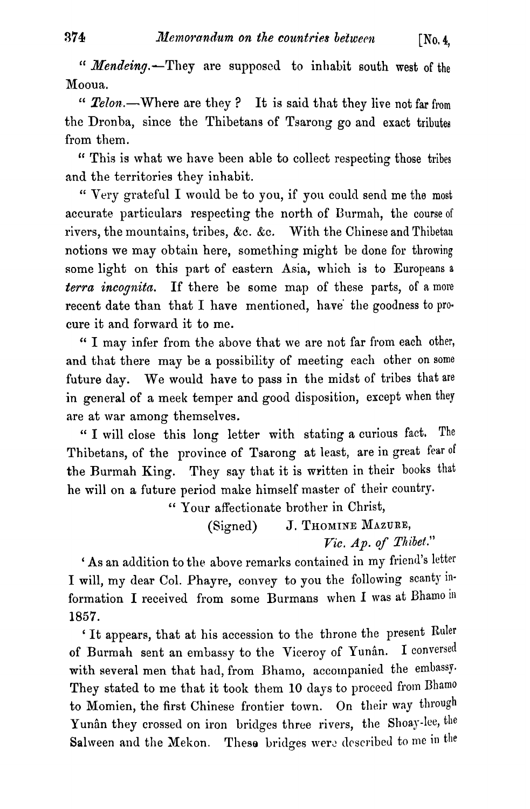" Mendeing. They are supposed to inhabit south west of the Mooua.

"  $Telon$ . Where are they? It is said that they live not far from the Dronba, since the Thibetans of Tsarong go and exact tributea from them.

'( This is what we have been able to collect respecting those tribes and the territories they inhabit.

" Very grateful I would be to you, if you could send me the most accurate particulars respecting the north of Eurmah, the course of rivers, the mountains, tribes, &c. kc. With the Chinese and Thibetan notions me may obtain here, something might be done for throwing some light on this part of eastern Asia, which is to Europeans a terra *incognita*. If there be some map of these parts, of a more recent date than that I have mentioned, have the goodness to procure it and forward it to me.

" I may infer from the above that we are not far from each other, and that there may be a possibility of meeting each other on some future day. We would have to pass in the midst of tribes that are in general of a meek temper and good disposition, except when they are at war among themselves.

" **<sup>1</sup>**will close this long letter with stating a curious fact. The Thibetans, of the province of Tsarong at least, are in great fear of the Rurmah King. They say that it is written in their books that he will on a future period make himself master of their country.

" Your affectionate brother in Christ,

(Signed) J. THOMINE **MAZURE,** 

*Ec, Ap.* of *Z'hibct."* 

' **As** an addition to the above remarlts contained in my friend's letter I will, my dear Col. Phayre, convey to you the following scanty information I received from some Burmans when I was at Ehamo in 1857.

' It appears, that at his accession to the throne the present Ruler of Burmah sent an embassy to the Viceroy of Yunân. I conversed with several men that had, from Bhamo, accompanied the embassy. They stated to me that it took them 10 days to proceed from Bhamo to Momien, the first Chinese frontier town. On their way through Yunân they crossed on iron bridges three rivers, the Shoay-lee, the Salween and the Mekon. These bridges were described to me in the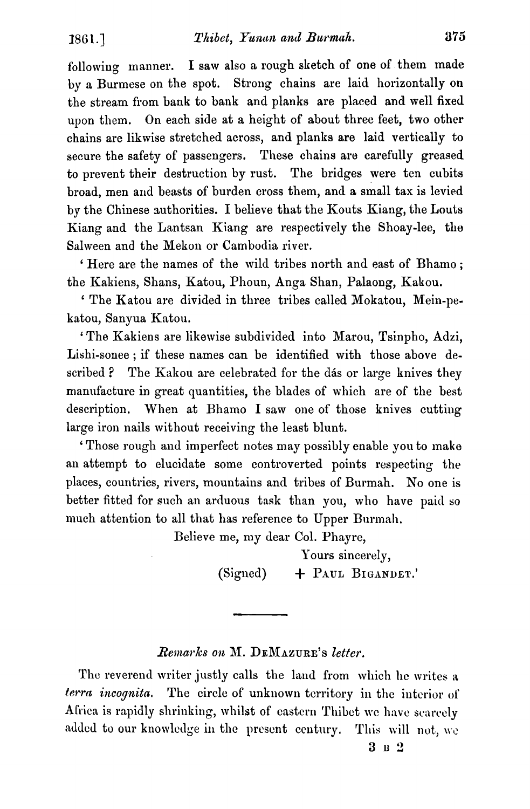following manner. I saw also a rough sketch of one of them made by **s** Burmese on the spot. Strong chains are laid horizontally on the stream from bank to bank and planks are placed and well fixed upon them. On each side at a height of about three feet, two other chains are likwise stretched across, and planks are laid vertically to secure the safety of passengers. These chains are carefully greased to prevent their destruction by rust. The bridges were ten cubits broad, men and beasts of burden cross them, and a small tax is levied by the Chinese suthorities. I believe that the Kouts Kiang, the Louts Kiang and the Lantsan Kiang are respectively the Shoay-lee, the Salween and the Mekon or Cambodia river.

'Here are the names of the wild tribes north and east of Bhamo; the Kakiens, Shans, Katou, Phoun, Anga Shan, Palaong, Kakou.

' The Katou are divided in three tribes called Mokatou, Mein-pekatou, Sanyua Katon.

' The Kakiens are likewise subdivided into Marou, Tsinpho, Adzi, Lishi-sonee ; if these names can be identified with those above described ? The Kakou are celebrated for the dás or large knives they manufacture in great quantities, the blades of which are of the best description. When at Bhamo I saw one of those knives cutting large iron nails without receiving the least blunt.

' Those rough and imperfect notes may possibly enable you to make an attempt to elucidate some controverted points respecting the places, countries, rivers, mountains and tribes of Burmah. No one is better fitted for such an arduous task than you, who have paid so much attention to all that has reference to Upper Burmall.

Believe me, my dear Col. Phayre,

Yours sincerely, (Signed) + PAUL **BIGANDET.'** 

## $Remarks$  on M. DEMAZURE's *letter*.

The reverend writer justly calls the land from which he writes a *terra incognita.* The circle of unknown territory in the interior of Africa is rapidly shrinking, whilst of eastern Thibet we have scarcely added to our knowledge in the present century. This will not, we

**3 u 3**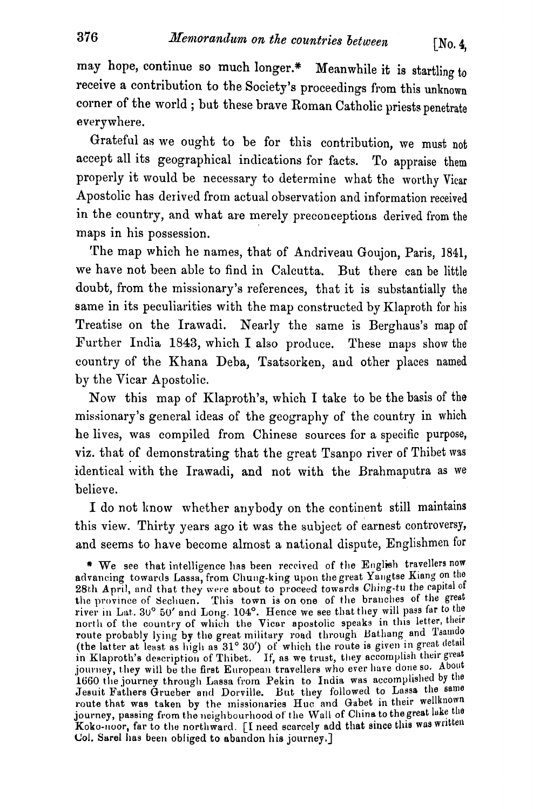may hope, continue so much longer.\* Meanwhile it is startling to receive a contribution to the Society's proceedings from this unknown corner of the world ; but these brave Roman Catholic priesta penetrate everywhere.

Grateful as we ought to be for this contribution, we must not accept all its geographical indications for facts. To appraise them properly it would be necessary to determine what the worthy Vicar Apostolic has derived from actual observation and information received in the country, and what are merely preconceptions derived from the maps in his possession.

'L'he map which he names, that of Andriveau Goujon, Paris, 1841, **we** have not been able to find in Calcutta. But there can be little doubt, from the missionary's references, that it is substantially the same in its peculiarities with the map constructed by Klaproth for his Treatise on the Irawadi. Nearly the same is Berghaus's map of Further India 1843, which I also produce. These maps show the country of the Khana Deba, Tsatsorken, aud other places named by the Vicar Apostolic.

Now this map of Klaproth's, which I take to be the basis of the missionary's general ideas of the geography of the country in which he lives, was compiled from Chinese sources for a specific purpose, viz. that of demonstrating that the great Tsanpo river of Thibet **wss**  identical with the Irawadi, and not with the Brahmaputra as we believe.

I do not know whether anybody on the continent still maintains this view. Thirty years ago it was the subject of earnest controversy, and seems to have become almost a national dispute, Englishmen for

376

<sup>\*</sup> We see that intelligence has been received of the English travellers now advancing towards Lassa, from Chung-king upon the great Yangtse Kiang on the 28th April, and that they were about to proceed towards Ching-tu the capital of the province of Sechuen. This town is on one of the branches of the great river in Lat. 30° 50' and Long. 104°. Hence we see that they will pass far to the north of the country of which the Vicar apostolic speaks in this letter, then route probably lying by the great military road through Bathang and Tannuol (the latter at least as high as 31° 30') of which the route is given in great (letal)<br>in Klaproth's description of Thibet. If, as we trust, they accomplish their great journey, they will be the first European travellers who ever have done so. About 1660 the journey through Lassa from Pekin to India was accomplished by the Jesuit Fathers Grueber and Dorville. But they followed to Lassa the same route **that** was taken by the missionaries **Huo and** Gabet in their wellknown journey, passing from the neighbourhood of the Wall of Chine to the great lake the Koko-noor, far to the northward. [I need scarcely add that since this was written Col. Sarel has been obliged to abandon his journey.]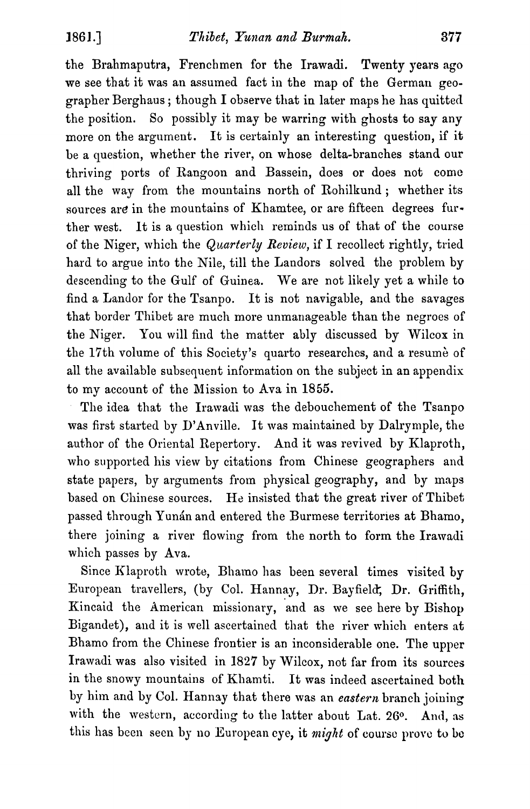the Brahmsputra, Frenchmen for the Irawadi. Twenty years ago we see that it was an assumed fact in the map of the German geographer Berghaus ; though I observe that in later maps he has quitted the position. So possibly it may be warring with ghosts to say any more on the argument. It is certainly an interesting question, if it be a question, whether the river, on whose delta-branches stand our thriving ports of Rangoon and Bassein, does or does not come all the way from the mountains north of Rohilkund; whether its sources are in the mountains of Khamtee, or are fifteen degrees further west. It is a question which reminds us of that of the course of the Niger, which the Quarterly Review, if I recollect rightly, tried hard to argue into the Nile, till the Landors solved the problem by descending to the Gulf of Guinea. We are not likely yet a while to find a Landor for the Tsanpo. It is not navigable, and the savages that border Thibet are much more unmanageable than the negroes of the Niger. You will find the matter ably discussed by Wilcox in the 17th volume of this Society's quarto researches, and a resume of all the available subsequent information on the subject in an appendix to my account of the Mission to Ava in 1855.

The idea that the Irawadi was the debouchement of the Tsanpo was first started by D'Anville. It was maintained by Dalrymple, the author of the Oriental Repertory. And it was revived by Klaproth, who supported his view by citations from Chinese geographers and state papers, by arguments from physical geography, and by maps based on Chinese sources. He insisted that the great river of Thibet passed through Yunán and entered the Burmese territories at Bhamo, there joining a river flowing from the north to form the Irawadi which passes by Ava.

Since Klaproth wrote, Bhamo has been several times visited by European travellers, (by Col. Hannay, Dr. Bayfield; Dr. Griffith, Kincaid the American missionary, and as we see here by Bishop Bigandet), and it is well ascertained that the river which enters at Bhamo from the Chinese frontier is an inconsiderable one. The upper Irawadi was also visited in 1827 by Wilcox, not far from its sources in the snowy mountains of Khamti. It was indeed ascertained both by him and by Col. Hannay that there was an *eastern* branch joining with the western, according to the latter about Lat. 26°. And, as this has bcen secn by no European cye, it *nright* of courso provo to **be**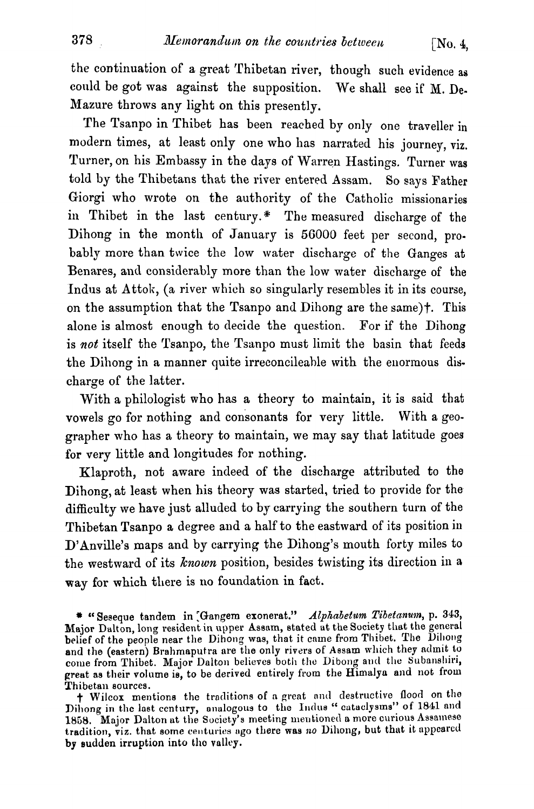the continuation of a great Thibetan river, though such evidence as could be got was against the supposition. We shall see if M. De-Mazure throws any light on this presently.

The Tsanpo in Thibet has been reached by only one traveller in modern times, at least only one who has narrated his journey, viz. Turner, on his Embassy in the days of Warren Hastings. Turner **was**  told by the Thibetans that the river entered Assam. So says Father Giorgi who wrote on the authority of the Catholic missionaries in Thibet in the last century.\* The measured discharge of the Dihong in the month of January is *5G000* feet per second, probably more than twice the low water discharge of the Ganges at Benares, and considerably more than the low water discharge of the Indus at Attok, (a river which so singularly resembles it in its course, on the assumption that the Tsanpo and Dihong are the same) $\dagger$ . This alone is almost enough to decide the question. For if the Dihong is **not** itself the Tsanpo, the Tsanpo must limit the basin that feeds the Dihong in a manner quite irreconcileable with the enormous discharge of the latter.

With a philologist who has a theory to maintain, it is said that vowels go for nothing and consonants for very little. With a geographer who has a theory to maintain, we may say that latitude goes for very little and longitudes for nothing.

Klaproth, not aware indeed of the discharge attributed to the Dihong, at least when his theory was started, tried to provide for the. difficulty we have just alluded to by carrying the southern turn of the Thibetan Tsanpo a degree and a half to the eastward of its position in D'Anville's maps and by carrying the Dihong's mouth forty miles to the westward of its known position, besides twisting its direction in a **way** for which tlrere is no foundation in fact.

\* "Seseque tandem in Gangem exonerat." Alphabetum Tibetanum, p. 343, Major Dalton, long resident in upper Assam, stated at the Society that the general belief of the people near the Dihong was, that it came from Thibet. The Dihong and the (eastern) Brahmaputra are the only rivers of Assam which they admit to come from Thibet. Major Dalton believes both the Dibong and the Subanshiri, come from Thibet. Major Dalton believes both the Dibong and the Subanshiri, great as their volume is, to be derived entirely from the Himalya and not from Thibetan sources.

t Wilcox mentions the traditions of a great and destructive flood on the T WHOOX mentions the traditions of a great and destitutive hood on the Dihong in the last century, analogous to the Indus " cataclysms" of 1841 and 1858. Major Dalton at the Society's meeting mentioned **a** more curious Assamese tradition, viz. that some centuries ago there was no Dihong, but that it appeared by **eudden** irruption into tho valley.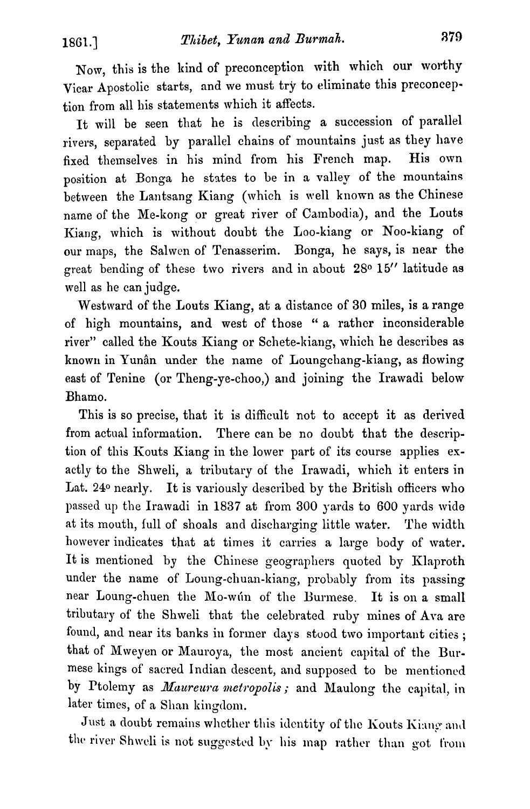Now, this is the lrind of preconception with which **our** worthy Vicar Apostolic starts, and we must try to eliminate this preconeeption from all his statements which it affects.

It will be seen that he is describing a succession of parallel rivers, separated by parallel chains of mountains just as they have fixed themselves in his mind from his French map. His own position at Bonga he stztes to be in a valley of the mountains between the Lantsang Kiang (which is well known as the Chinese name of the Me-kong or great river of Cambodia), and the Louts Kiang, which is without doubt the Loo-kiang or Noo-kiang of our maps, the Salwcn of Tenasserim. Bonga, he says, is near the great bending of these two rivers and in about **280 15"** latitude as well as he can judge.

Westward of the Louts Kiang, at a distance of 30 miles, is a range of high mountains, and west of those " a rathcr inconsiderable river" called the Kouts Kiang or Schete-kiang, which he describes as known in Yunân under the name of Loungchang-kiang, as flowing east of Tenine (or Theng-ye-choo,) and joining the Irawadi below Bhamo.

This is so precise, that it is difficult not to accept it as derived from actual information. There can be no doubt that the description of this Kouts Kiang in the lower part of its course applies exactly to the Shweli, a tributary of the Irawadi, which it enters in Lat. **240** nearly. It is variously described by the British officers who passed up the Irawadi in 1837 at from 300 yards to 600 yards wide at its mouth, full of shoals and discharging little water. The width however indicates that at times it carries a large body of water. It is mentioned by the Chinese geographers quoted by Klaproth under the name of Loung-chuan-kiang, probably from its passing near Loung-chuen the Mo-win of the Burmese. It is on a small tributary of the Shweli that the celebrated ruby mines of Ara are found, and near its banks in former days stood two important cities; that of Mweyen or Mauroya, the most ancient capital of the Burmese kings of sacred Indian descent, and supposed to be mentioned by Ptolemy as *Maureura metropolis;* and Maulong the capital, in later times, of a Shan kingdom.

Just a doubt remains whether this identity of the Kouts Kiang and the river Shweli is not suggested by his map rather than got from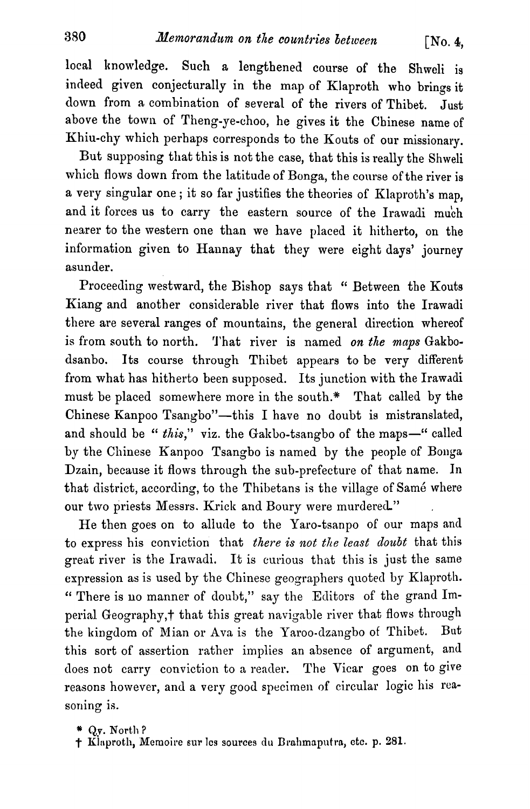local knowledge. Such a lengthened course of the Shweli is indeed given conjecturally in the map of Klaproth who brings it down from a combination of several of the rivers of Thibet. Just above the town of Theng-ye-choo, he gives it the Chinese name of Khiu-chy which perhaps corresponds to the Kouts of our missionary.

But supposing that this is not the case, that this is really the Shweli which flows down from the latitude of Bonga, the course of the river is a very singular one ; it so far justifies the theories of Klaproth's map, and it forces us to carry the eastern source of the Irawadi much nearer to the western one than we have placed it hitherto, on the information given to Hannay that they were eight days' journey asunder.

Proceeding westward, the Bishop says that " Between the Kouts Kiang and another considerable river that flows into the Irawadi there are several ranges of mountains, the general direction whereof is from south to north. That river is named on the maps Gakbodsanbo. Its course through Thibet appears to be very different from what has hitherto been supposed. Its junction with the Irawadi must be placed somewhere more in the south.\* That called by the Chinese Kanpoo Tsangbo"-this I have no doubt is mistranslated, and should be " this," viz. the Gakbo-tsangbo of the maps-" called by the Chinese Kanpoo Tsangbo is named by the people of Bongs Dzain, because it flows through the sub-prefecture of that name. In that district, according, to the Thibetans is the village of Samé where our two priests Messrs. Krick and Boury were murdered."

He then goes on to allude to the Yaro-tsanpo of our maps and to express his conviction that *there* is *not the least doubt* that this great river is the Irawadi. It is curious that this is just the same expression as is used by the Chinese geographers quoted by Klaproth. " There is no manner of doubt," say the Editors of the grand Imperial Geography,† that this great navigable river that flows through the kingdom of Mian or Ava is the Yaroo-dzangbo of Thibet. But this sort of assertion rather implies an absence of argument, and does not carry conviction to a reader. The Vicar goes on to give reasons however, and a very good specimen of circular logic his reasoning is.

\* **Qp.** North ?

 $\dagger$  Klaproth, Memoire sur les sources du Brahmaputra, etc. p. 281.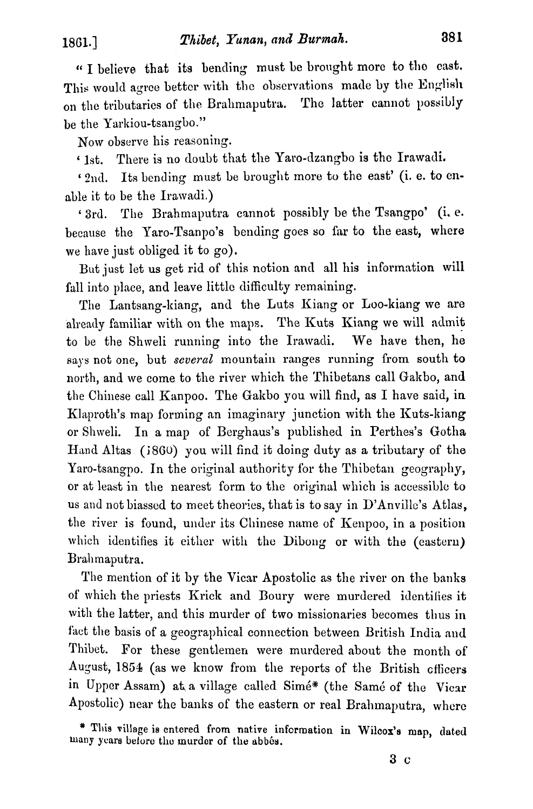**<sup>16</sup>**I believe that its bencling must be brought morc to tho cast. This would agree better with the observations made by the English on the tributaries of the Brahmaputra. The latter cannot possibly be the Yarkiou-tsangbo."

Now observe his reasoning.

' 1st. There is no doubt that the Yaro-dzangbo is the Irawadi.

' 2nd. Its bending must be brought more to the east' (i, e. to enable it to be the Irawadi.)

'3rd. The Brahmaputra cannot possibly be the Tsangpo' (i. e. because the Yaro-Tsanpo's bending goes so far to the east, where we have just obliged it to go).

But just let us get rid of this notion and all his information will fall into place, and leave little difficulty remaining.

The Lantsang-kiang, and the Luts Kiang or Loo-kiang we are aheady familiar with on the maps. The Kuts Kiang we will admit to be the Shweli running into the Irawadi. We have then, he says not one, but *several* mountain ranges running from south to north, and we come to the river which the Thibetans call Galrbo, and the Chinese call Kanpoo. The Gakbo you will find, as I have said, in Klaproth's map forming an imaginary junction with the Kuts-kiang or Shweli. In a map of Berghaus's published in Perthes's Gotha Hand Altas (i8GO) you will find it doing duty as a tributary of the Yaro-tsangpo. In the original authority for the Thibetan geography, or at least in the nearest form to the original which is accessible to us and not biassed to meet theories, that is to say in D'Anville's Atlas, the river is found, under its Chinese name of Kenpoo, in a position which identifies it either with the Dibong or with the (eastern) Brahmaputra.

The mention of it by the Vicar Apostolic as the river on the banks of which the priests Krick and Boury were murdered identifies it with the latter, and this murder of two missionaries becomes thus in fact the basis of a geographical connection between British India and Thibet. For these gentlemen were murdered about the month of August, 1854 (as we know from the reports of the British cfficers in Upper Assam) at a village called Simé\* (the Samé of the Vicar Apostolic) near the banks of the eastern or real Brahmaputra, where

<sup>\*</sup> This village is entered from native information in Wilcox's map, dated many years before the murder of the abbes.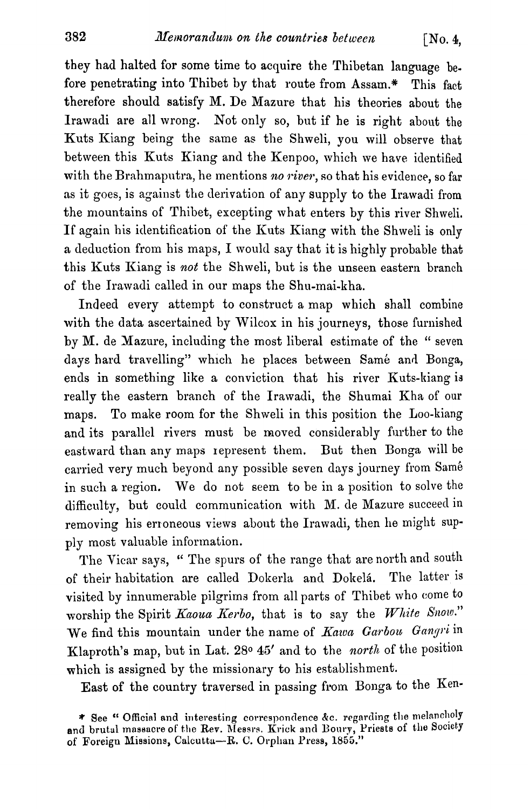they had halted for some time to acquire the Thibetan language be. fore penetrating into Thibet by that route from Assam.\* This fact therefore should satisfy M. De Mazure that his theories about the Irawadi are all wrong. Not only so, but if he is right about the Kuts Kiang being the same as the Shweli, you will observe that between this Kuts Kiang and the Kenpoo, which we have identified with the Brahmaputra, he mentions no river, so that his evidence, so far as it goes, is against the derivation of any supply to the Irawadi from the mountains of Thibet, excepting what enters by this river Shweli. If again his identification of the Kuts Kiang with the Shweli is only a deduction from his maps, I would say that it is highly probable that this Kuts Kiang is not the Shweli, but is the unseen eastern branch of the Irawadi called in our maps the Shu-mai-kha.

Indeed every attempt to construct a map which shall combine with the data ascertained by Wilcox in his journeys, those furnished by M. de Xazure, including the most liberal estimate of the " seven days hard travelling" which he places between Samé and Bonga, ends in something like a conviction that his river Kuts-kiang is really the eastern branch of the Irawadi, the Shumai Kha of our maps. To make room for the Shweli in this position the Loo-kiang and its parallel rivers must be moved considerably further to the eastward than any maps represent them. But then Bonga will be carried very much beyond any possible seven days journey from Samé in such a region. We do not seem to be in a position to solve the difficulty, but could communication with M. de Mazure succeed in removing his erroneous views about the Irawadi, then he might supply most valuable information.

The Vicar says, " The spurs of the range that are north and south of their habitation are called Dokerla and Dokelá. The latter is visited by innumerable pilgrirns from all parts of Thibet who come to worship the Spirit Kaoua Kerbo, that is to say the White Snow." We find this mountain under the name of Kawa Garbou Gangri in Klaproth's map, but in Lat. 28 $\circ$  45' and to the north of the position which is assigned by the missionary to his establishment.

East of the country traversed in passing from Bonga to the Ken-

<sup>\*</sup> See " Official and interesting correspondence &c. regarding the melancholy **and brutal massacre of the Rev. Messrs. Krick and Boury, Priests of the Society** of Foreign Missions, Calcutta-R. C. Orphan Press, 1855."